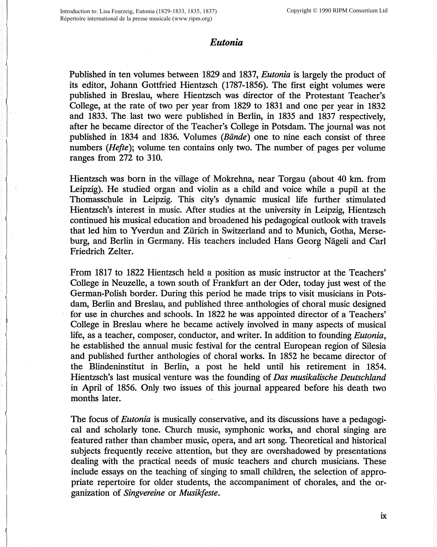## *Eutonia*

Published in ten volumes between 1829 and 1837, *Eutonia* is largely the product of its editor, Johann Gottfried Hientzsch (1787-1856). The first eight volumes were published in Breslau, where Hientzsch was director of the Protestant Teacher's College, at the rate of two per year from 1829 to 1831 and one per year in 1832 and 1833. The. last two were published in Berlin, in 1835 and 1837 respectively, after he became director of the Teacher's College in Potsdam. The journal was not published in 1834 and 1836. Volumes *(Biinde)* one to nine each consist of three numbers *(Hefte);* volume ten contains only two. The number of pages per volume ranges from 272 to 310.

Hientzsch was born in the village of Mokrehna, near Torgau ( about 40 km. from Leipzig). He studied organ and violin as a child and voice while a pupil at the Thomasschule in Leipzig. This city's dynamic musical life further stimulated Hientzsch's interest in music. After studies at the university in Leipzig, Hientzsch continued his musical education and broadened his pedagogical outlook with travels that led him to Yverdun and Zürich in Switzerland and to Munich, Gotha, Merseburg, and Berlin in Germany. His teachers included Hans Georg Nägeli and Carl Friedrich Zelter.

From 1817 to 1822 Hientzsch held a position as music instructor at the Teachers' College in Neuzelle, a town south of Frankfurt an der Oder, today just west of the German-Polish border. During this period he made trips to visit musicians in Potsdam, Berlin and Breslau, and published three anthologies of choral music designed for use in churches and schools. In 1822 he was appointed director of a Teachers' College in Breslau where he became actively involved in many aspects of musical life, as a teacher, composer, conductor, and writer. In addition to founding *Eutonia,*  he established the annual music festival for the central European region of Silesia and published further anthologies of choral works. In 1852 he became director of the Blindeninstitut in Berlin, a post he held until his retirement in 1854. Hientzsch's last musical venture was the founding of *Das musikalische Deutsch/and*  in April of 1856. Only two issues of this journal appeared before his death two months later.

The focus of *Eutonia* is musically conservative, and its discussions have a pedagogical and scholarly tone. Church music, symphonic works, and choral singing are featured rather than chamber music, opera, and art song. Theoretical and historical subjects frequently receive attention, but they are overshadowed by presentations dealing with the practical needs of music teachers and church musicians. These include essays on the teaching of singing to small children, the selection of appropriate repertoire for older students, the accompaniment of chorales, and the organization of *Singvereine* or *Musikfeste.*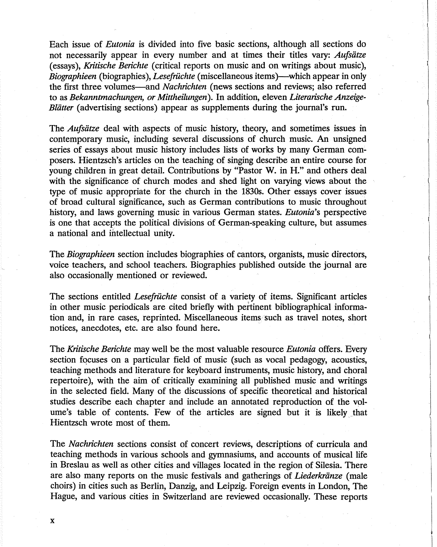Each issue of *Eutonia* is divided into five basic sections, although all sections do not necessarily appear in every number and at times their titles vary: *Aufsiitze*  (essays), *Kritische Berichte* ( critical reports on music and on writings about music), *Biographieen* (biographies), *Lesefrüchte* (miscellaneous items)—which appear in only the first three volumes-and *Nachrichten* (news sections and reviews; also referred to as *Bekanntmachungen, or Mittheilungen* ). In addition, eleven *Literarische Anzeige-Blätter* (advertising sections) appear as supplements during the journal's run.

The *Aufsiitze* deal with aspects of music history, theory, and sometimes issues in contemporary music, including several discussions of church music. An unsigned series of essays about music history includes lists of works by many German composers. Hientzsch's articles on the teaching of singing describe an entire course for young children in great detail. Contributions by "Pastor W. in H." and others deal with the significance of church modes and shed light on varying views about the type of music appropriate for the church in the 1830s. Other essays cover issues of broad cultural significance, such as German contributions to music throughout history, and laws governing music in various German states. *Eutonia's* perspective is one that accepts the political divisions of German-speaking culture, but assumes a national and intellectual unity.

The *Biographieen* section includes biographies of cantors, organists, music directors, voice teachers, and school teachers. Biographies published outside the journal are also occasionally mentioned or reviewed.

The sections entitled *Lesefruchte* consist of a variety of items. Significant articles in other music periodicals are cited briefly with pertinent bibliographical information and, in rare cases, reprinted. Miscellaneous items such as travel notes, short notices, anecdotes, etc. are also found here.

The *Kritische Berichte* may well be the most valuable resource *Eutonia* offers. Every section focuses on a particular field of music ( such as vocal pedagogy, acoustics, teaching methods and literature for keyboard instruments, music history, and choral repertoire), with the aim of critically examining all published music and writings in the selected field. Many of the discussions of specific theoretical and historical studies describe each chapter and include an annotated reproduction of the volume's table of contents. Few of the articles are signed but it is likely that Hientzsch wrote most of them.

The *Nachrichten* sections consist of concert reviews, descriptions of curricula and teaching methods in various schools and gymnasiums, and accounts of musical life in Breslau as well as other cities and villages located in the region of Silesia. There are also many reports on the music festivals and gatherings of *Liederkriinze* ( male choirs) in cities such as Berlin, Danzig, and Leipzig. Foreign events in London, The Hague, and various cities in Switzerland are reviewed occasionally. These reports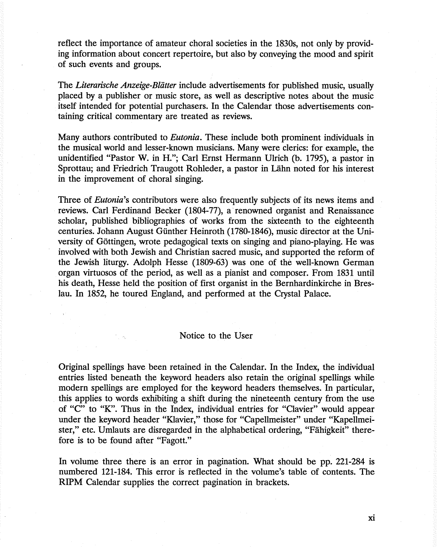reflect the importance of amateur choral societies in the 1830s, not only by providing information about concert repertoire, but also by conveying the mood and spirit of such events and groups.

The *Literarische Anzeige-Blätter* include advertisements for published music, usually placed by a publisher or music store, as well as descriptive notes about the music itself intended for potential purchasers. In the Calendar those advertisements containing critical commentary are treated as reviews.

Many authors contributed to *Eutonia.* These include both prominent individuals in the musical world and lesser-known musicians. Many were clerics: for example, the unidentified "Pastor W. in H."; Carl Ernst Hermann Ulrich (b. 1795), a pastor in Sprottau; and Friedrich Traugott Rohleder, a pastor in Lahn noted for his interest in the improvement of choral singing.

Three of *Eutonia's* contributors were also frequently subjects of its news items and reviews. Carl Ferdinand Becker (1804-77), a renowned organist and Renaissance scholar, published bibliographies of works from the sixteenth to the eighteenth centuries. Johann August Günther Heinroth (1780-1846), music director at the University of Gottingen, wrote pedagogical texts on singing and piano-playing. He was involved with both Jewish and Christian sacred music, and supported the reform of the Jewish liturgy. Adolph Hesse (1809-63) was one of the well-known German organ virtuosos of the period, as well as a pianist and composer. From 1831 until his death, Hesse held the position of first organist in the Bernhardinkirche in Breslau. In 1852, he toured England, and performed at the Crystal Palace.

## Notice to the User

Original spellings have been retained in the Calendar. In the Index, the individual entries listed beneath the keyword headers also retain the original spellings while modern spellings are employed for the keyword headers themselves. In particular, this applies to words exhibiting a shift during the nineteenth century from the use of "C" to "K". Thus in the Index, individual entries for "Clavier" would appear under the keyword header "Klavier," those for "Capellmeister" under "Kapellmeister," etc. Umlauts are disregarded in the alphabetical ordering, "Fahigkeit" therefore is to be found after "Fagott."

In volume three there is an error in pagination. What should be pp. 221-284 is numbered 121-184. This error is reflected in the volume's table of contents. The RIPM Calendar supplies the correct pagination in brackets.